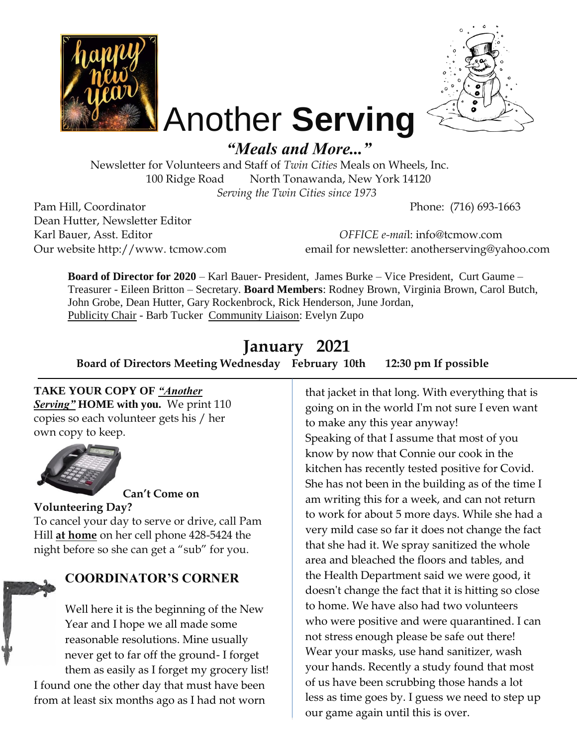



# Another **Serving**

*"Meals and More..."*

Newsletter for Volunteers and Staff of *Twin Cities* Meals on Wheels, Inc. 100 Ridge Road North Tonawanda, New York 14120 *Serving the Twin Cities since 1973* 

Pam Hill, Coordinator Phone: (716) 693-1663 Dean Hutter, Newsletter Editor

Karl Bauer, Asst. Editor *OFFICE e-mai*l: info@tcmow.com Our website http://www. tcmow.com email for newsletter: anotherserving@yahoo.com

**Board of Director for 2020** – Karl Bauer- President, James Burke – Vice President, Curt Gaume – Treasurer - Eileen Britton – Secretary. **Board Members**: Rodney Brown, Virginia Brown, Carol Butch, John Grobe, Dean Hutter, Gary Rockenbrock, Rick Henderson, June Jordan, Publicity Chair - Barb Tucker Community Liaison: Evelyn Zupo

# **January 2021**

**Board of Directors Meeting Wednesday February 10th 12:30 pm If possible** 

**TAKE YOUR COPY OF** *"Another Serving"* **HOME with you.** We print 110 copies so each volunteer gets his / her own copy to keep.



#### **Can't Come on**

#### **Volunteering Day?**

To cancel your day to serve or drive, call Pam Hill **at home** on her cell phone 428-5424 the night before so she can get a "sub" for you.

## **COORDINATOR'S CORNER**

Well here it is the beginning of the New Year and I hope we all made some reasonable resolutions. Mine usually never get to far off the ground- I forget them as easily as I forget my grocery list! I found one the other day that must have been

from at least six months ago as I had not worn

that jacket in that long. With everything that is going on in the world I'm not sure I even want to make any this year anyway! Speaking of that I assume that most of you know by now that Connie our cook in the kitchen has recently tested positive for Covid. She has not been in the building as of the time I am writing this for a week, and can not return to work for about 5 more days. While she had a very mild case so far it does not change the fact that she had it. We spray sanitized the whole area and bleached the floors and tables, and the Health Department said we were good, it doesn't change the fact that it is hitting so close to home. We have also had two volunteers who were positive and were quarantined. I can not stress enough please be safe out there! Wear your masks, use hand sanitizer, wash your hands. Recently a study found that most of us have been scrubbing those hands a lot less as time goes by. I guess we need to step up our game again until this is over.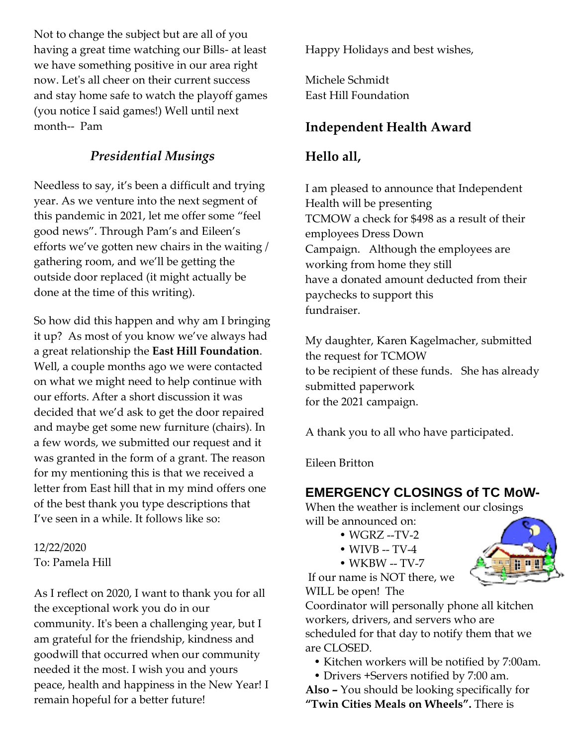Not to change the subject but are all of you having a great time watching our Bills- at least we have something positive in our area right now. Let's all cheer on their current success and stay home safe to watch the playoff games (you notice I said games!) Well until next month-- Pam

## *Presidential Musings*

Needless to say, it's been a difficult and trying year. As we venture into the next segment of this pandemic in 2021, let me offer some "feel good news". Through Pam's and Eileen's efforts we've gotten new chairs in the waiting / gathering room, and we'll be getting the outside door replaced (it might actually be done at the time of this writing).

So how did this happen and why am I bringing it up? As most of you know we've always had a great relationship the **East Hill Foundation**. Well, a couple months ago we were contacted on what we might need to help continue with our efforts. After a short discussion it was decided that we'd ask to get the door repaired and maybe get some new furniture (chairs). In a few words, we submitted our request and it was granted in the form of a grant. The reason for my mentioning this is that we received a letter from East hill that in my mind offers one of the best thank you type descriptions that I've seen in a while. It follows like so:

12/22/2020 To: Pamela Hill

As I reflect on 2020, I want to thank you for all the exceptional work you do in our community. It's been a challenging year, but I am grateful for the friendship, kindness and goodwill that occurred when our community needed it the most. I wish you and yours peace, health and happiness in the New Year! I remain hopeful for a better future!

Happy Holidays and best wishes,

Michele Schmidt East Hill Foundation

#### **Independent Health Award**

## **Hello all,**

I am pleased to announce that Independent Health will be presenting TCMOW a check for \$498 as a result of their employees Dress Down Campaign. Although the employees are working from home they still have a donated amount deducted from their paychecks to support this fundraiser.

My daughter, Karen Kagelmacher, submitted the request for TCMOW to be recipient of these funds. She has already submitted paperwork for the 2021 campaign.

A thank you to all who have participated.

Eileen Britton

## **EMERGENCY CLOSINGS of TC MoW-**

When the weather is inclement our closings will be announced on:

- WGRZ --TV-2
- WIVB -- TV-4
- WKBW -- TV-7



If our name is NOT there, we WILL be open! The

Coordinator will personally phone all kitchen workers, drivers, and servers who are scheduled for that day to notify them that we are CLOSED.

- Kitchen workers will be notified by 7:00am.
- Drivers +Servers notified by 7:00 am.

**Also –** You should be looking specifically for **"Twin Cities Meals on Wheels".** There is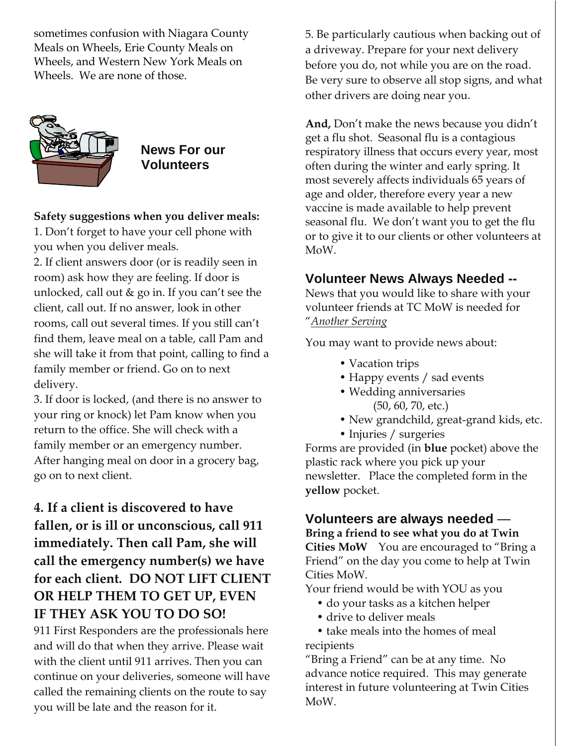sometimes confusion with Niagara County Meals on Wheels, Erie County Meals on Wheels, and Western New York Meals on Wheels. We are none of those.



 **News For our Volunteers** 

#### **Safety suggestions when you deliver meals:**

1. Don't forget to have your cell phone with you when you deliver meals.

2. If client answers door (or is readily seen in room) ask how they are feeling. If door is unlocked, call out & go in. If you can't see the client, call out. If no answer, look in other rooms, call out several times. If you still can't find them, leave meal on a table, call Pam and she will take it from that point, calling to find a family member or friend. Go on to next delivery.

3. If door is locked, (and there is no answer to your ring or knock) let Pam know when you return to the office. She will check with a family member or an emergency number. After hanging meal on door in a grocery bag, go on to next client.

## **4. If a client is discovered to have fallen, or is ill or unconscious, call 911 immediately. Then call Pam, she will call the emergency number(s) we have for each client. DO NOT LIFT CLIENT OR HELP THEM TO GET UP, EVEN IF THEY ASK YOU TO DO SO!**

911 First Responders are the professionals here and will do that when they arrive. Please wait with the client until 911 arrives. Then you can continue on your deliveries, someone will have called the remaining clients on the route to say you will be late and the reason for it.

5. Be particularly cautious when backing out of a driveway. Prepare for your next delivery before you do, not while you are on the road. Be very sure to observe all stop signs, and what other drivers are doing near you.

**And,** Don't make the news because you didn't get a flu shot. Seasonal flu is a contagious respiratory illness that occurs every year, most often during the winter and early spring. It most severely affects individuals 65 years of age and older, therefore every year a new vaccine is made available to help prevent seasonal flu. We don't want you to get the flu or to give it to our clients or other volunteers at MoW.

## **Volunteer News Always Needed --**

News that you would like to share with your volunteer friends at TC MoW is needed for "*Another Serving*

You may want to provide news about:

- Vacation trips
- Happy events / sad events
- Wedding anniversaries (50, 60, 70, etc.)
- New grandchild, great-grand kids, etc.
- Injuries / surgeries

Forms are provided (in **blue** pocket) above the plastic rack where you pick up your newsletter. Place the completed form in the **yellow** pocket.

## **Volunteers are always needed** —

**Bring a friend to see what you do at Twin Cities MoW** You are encouraged to "Bring a Friend" on the day you come to help at Twin Cities MoW.

Your friend would be with YOU as you

- do your tasks as a kitchen helper
- drive to deliver meals

 • take meals into the homes of meal recipients

"Bring a Friend" can be at any time. No advance notice required. This may generate interest in future volunteering at Twin Cities MoW.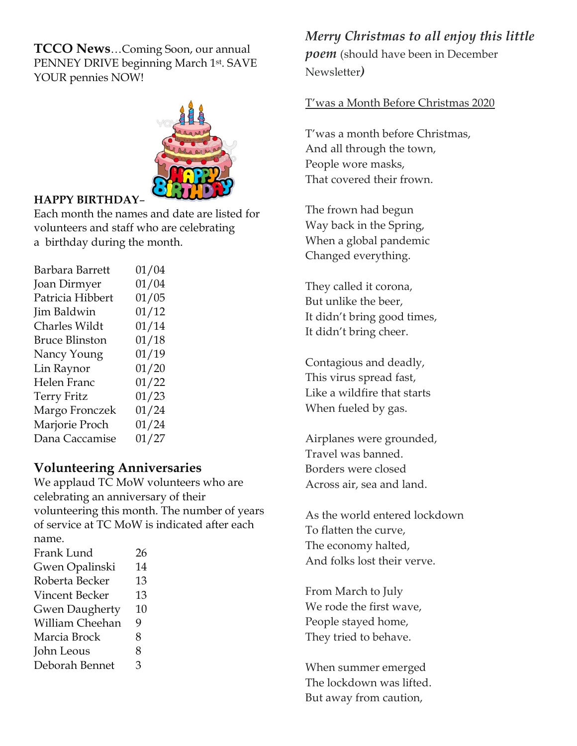**TCCO News**…Coming Soon, our annual PENNEY DRIVE beginning March 1st. SAVE YOUR pennies NOW!



#### **HAPPY BIRTHDAY**–

Each month the names and date are listed for volunteers and staff who are celebrating a birthday during the month.

| Barbara Barrett       | 01/04 |
|-----------------------|-------|
| Joan Dirmyer          | 01/04 |
| Patricia Hibbert      | 01/05 |
| Jim Baldwin           | 01/12 |
| <b>Charles Wildt</b>  | 01/14 |
| <b>Bruce Blinston</b> | 01/18 |
| Nancy Young           | 01/19 |
| Lin Raynor            | 01/20 |
| Helen Franc           | 01/22 |
| <b>Terry Fritz</b>    | 01/23 |
| Margo Fronczek        | 01/24 |
| Marjorie Proch        | 01/24 |
| Dana Caccamise        | 01/27 |
|                       |       |

#### **Volunteering Anniversaries**

We applaud TC MoW volunteers who are celebrating an anniversary of their volunteering this month. The number of years of service at TC MoW is indicated after each name.

| Frank Lund            | 26 |
|-----------------------|----|
| Gwen Opalinski        | 14 |
| Roberta Becker        | 13 |
| Vincent Becker        | 13 |
| <b>Gwen Daugherty</b> | 10 |
| William Cheehan       | 9  |
| Marcia Brock          | 8  |
| John Leous            | 8  |
| Deborah Bennet        | З  |

## *Merry Christmas to all enjoy this little poem* (should have been in December Newsletter*)*

#### T'was a Month Before Christmas 2020

T'was a month before Christmas, And all through the town, People wore masks, That covered their frown.

The frown had begun Way back in the Spring, When a global pandemic Changed everything.

They called it corona, But unlike the beer, It didn't bring good times, It didn't bring cheer.

Contagious and deadly, This virus spread fast, Like a wildfire that starts When fueled by gas.

Airplanes were grounded, Travel was banned. Borders were closed Across air, sea and land.

As the world entered lockdown To flatten the curve, The economy halted, And folks lost their verve.

From March to July We rode the first wave, People stayed home, They tried to behave.

When summer emerged The lockdown was lifted. But away from caution,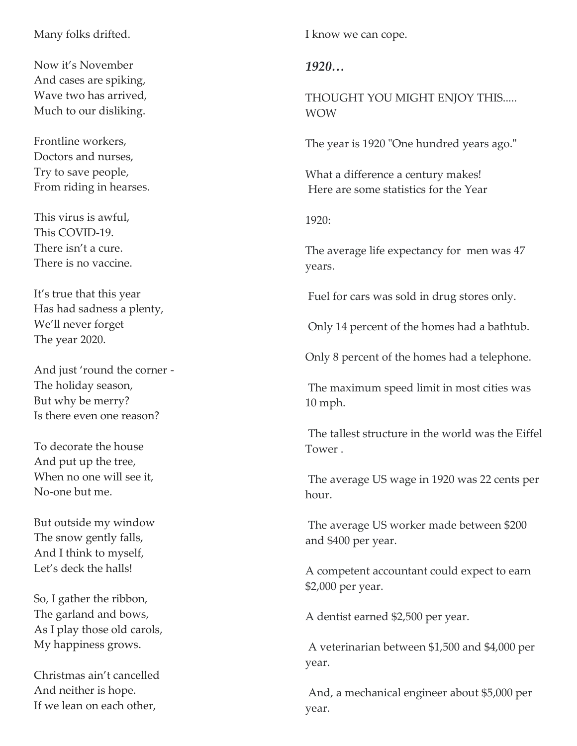#### Many folks drifted.

Now it's November And cases are spiking, Wave two has arrived, Much to our disliking.

Frontline workers, Doctors and nurses, Try to save people, From riding in hearses.

This virus is awful, This COVID-19. There isn't a cure. There is no vaccine.

It's true that this year Has had sadness a plenty, We'll never forget The year 2020.

And just 'round the corner - The holiday season, But why be merry? Is there even one reason?

To decorate the house And put up the tree, When no one will see it, No-one but me.

But outside my window The snow gently falls, And I think to myself, Let's deck the halls!

So, I gather the ribbon, The garland and bows, As I play those old carols, My happiness grows.

Christmas ain't cancelled And neither is hope. If we lean on each other,

I know we can cope.

*1920…*

THOUGHT YOU MIGHT ENJOY THIS..... WOW

The year is 1920 "One hundred years ago."

What a difference a century makes! Here are some statistics for the Year

1920:

The average life expectancy for men was 47 years.

Fuel for cars was sold in drug stores only.

Only 14 percent of the homes had a bathtub.

Only 8 percent of the homes had a telephone.

The maximum speed limit in most cities was 10 mph.

The tallest structure in the world was the Eiffel Tower .

The average US wage in 1920 was 22 cents per hour.

The average US worker made between \$200 and \$400 per year.

A competent accountant could expect to earn \$2,000 per year.

A dentist earned \$2,500 per year.

A veterinarian between \$1,500 and \$4,000 per year.

And, a mechanical engineer about \$5,000 per year.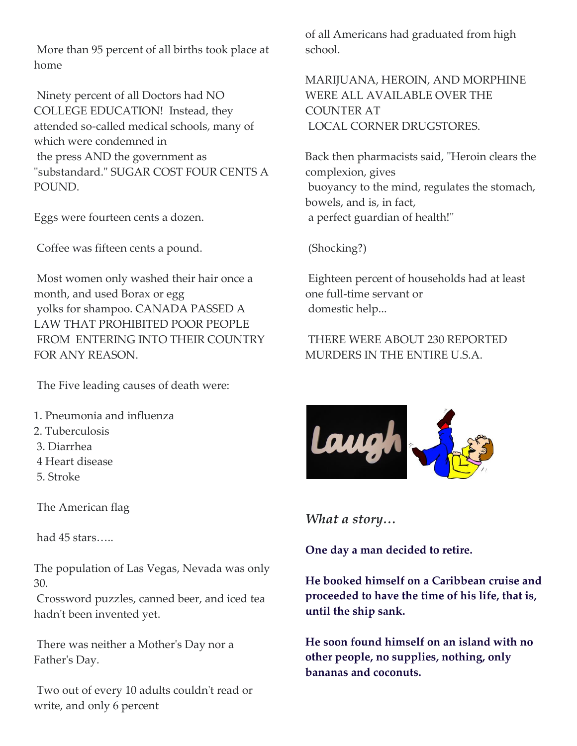More than 95 percent of all births took place at home

Ninety percent of all Doctors had NO COLLEGE EDUCATION! Instead, they attended so-called medical schools, many of which were condemned in the press AND the government as "substandard." SUGAR COST FOUR CENTS A POUND.

Eggs were fourteen cents a dozen.

Coffee was fifteen cents a pound.

Most women only washed their hair once a month, and used Borax or egg yolks for shampoo. CANADA PASSED A LAW THAT PROHIBITED POOR PEOPLE FROM ENTERING INTO THEIR COUNTRY FOR ANY REASON.

The Five leading causes of death were:

- 1. Pneumonia and influenza
- 2. Tuberculosis
- 3. Diarrhea
- 4 Heart disease
- 5. Stroke

The American flag

had 45 stars…..

The population of Las Vegas, Nevada was only 30.

Crossword puzzles, canned beer, and iced tea hadn't been invented yet.

There was neither a Mother's Day nor a Father's Day.

Two out of every 10 adults couldn't read or write, and only 6 percent

of all Americans had graduated from high school.

MARIJUANA, HEROIN, AND MORPHINE WERE ALL AVAILABLE OVER THE COUNTER AT LOCAL CORNER DRUGSTORES.

Back then pharmacists said, "Heroin clears the complexion, gives buoyancy to the mind, regulates the stomach, bowels, and is, in fact, a perfect guardian of health!"

(Shocking?)

Eighteen percent of households had at least one full-time servant or domestic help...

THERE WERE ABOUT 230 REPORTED MURDERS IN THE ENTIRE U.S.A.



*What a story…*

**One day a man decided to retire.**

**He booked himself on a Caribbean cruise and proceeded to have the time of his life, that is, until the ship sank.**

**He soon found himself on an island with no other people, no supplies, nothing, only bananas and coconuts.**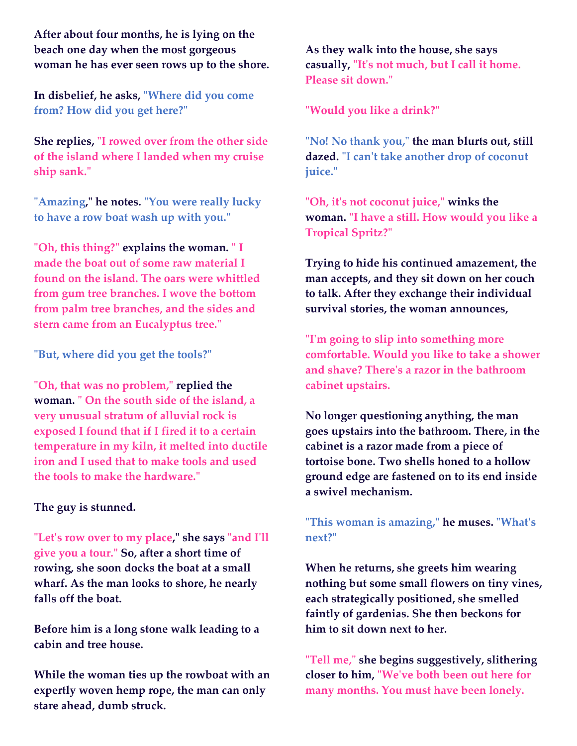**After about four months, he is lying on the beach one day when the most gorgeous woman he has ever seen rows up to the shore.**

**In disbelief, he asks, "Where did you come from? How did you get here?"**

**She replies, "I rowed over from the other side of the island where I landed when my cruise ship sank."**

**"Amazing," he notes. "You were really lucky to have a row boat wash up with you."**

**"Oh, this thing?" explains the woman. " I made the boat out of some raw material I found on the island. The oars were whittled from gum tree branches. I wove the bottom from palm tree branches, and the sides and stern came from an Eucalyptus tree."**

**"But, where did you get the tools?"**

**"Oh, that was no problem," replied the woman. " On the south side of the island, a very unusual stratum of alluvial rock is exposed I found that if I fired it to a certain temperature in my kiln, it melted into ductile iron and I used that to make tools and used the tools to make the hardware."**

#### **The guy is stunned.**

**"Let's row over to my place," she says "and I'll give you a tour." So, after a short time of rowing, she soon docks the boat at a small wharf. As the man looks to shore, he nearly falls off the boat.**

**Before him is a long stone walk leading to a cabin and tree house.**

**While the woman ties up the rowboat with an expertly woven hemp rope, the man can only stare ahead, dumb struck.**

**As they walk into the house, she says casually, "It's not much, but I call it home. Please sit down."**

**"Would you like a drink?"**

**"No! No thank you," the man blurts out, still dazed. "I can't take another drop of coconut juice."**

**"Oh, it's not coconut juice," winks the woman. "I have a still. How would you like a Tropical Spritz?"**

**Trying to hide his continued amazement, the man accepts, and they sit down on her couch to talk. After they exchange their individual survival stories, the woman announces,**

**"I'm going to slip into something more comfortable. Would you like to take a shower and shave? There's a razor in the bathroom cabinet upstairs.**

**No longer questioning anything, the man goes upstairs into the bathroom. There, in the cabinet is a razor made from a piece of tortoise bone. Two shells honed to a hollow ground edge are fastened on to its end inside a swivel mechanism.**

**"This woman is amazing," he muses. "What's next?"**

**When he returns, she greets him wearing nothing but some small flowers on tiny vines, each strategically positioned, she smelled faintly of gardenias. She then beckons for him to sit down next to her.**

**"Tell me," she begins suggestively, slithering closer to him, "We've both been out here for many months. You must have been lonely.**